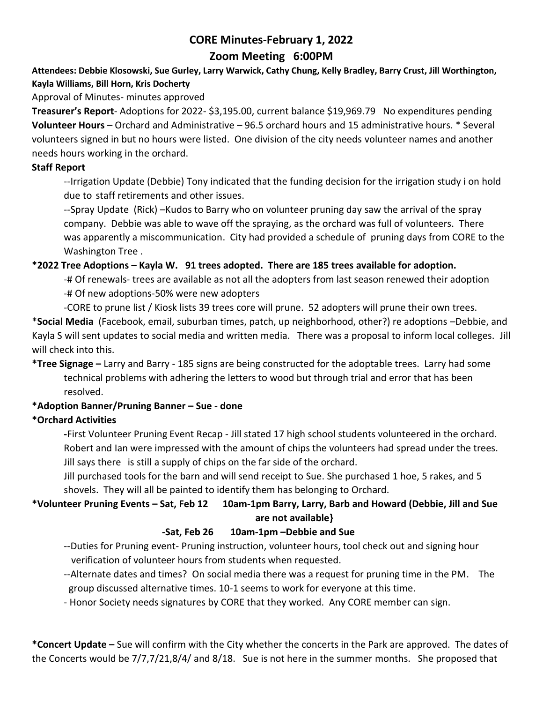# **CORE Minutes-February 1, 2022**

# **Zoom Meeting 6:00PM**

**Attendees: Debbie Klosowski, Sue Gurley, Larry Warwick, Cathy Chung, Kelly Bradley, Barry Crust, Jill Worthington, Kayla Williams, Bill Horn, Kris Docherty**

Approval of Minutes- minutes approved

**Treasurer's Report**- Adoptions for 2022- \$3,195.00, current balance \$19,969.79 No expenditures pending **Volunteer Hours** – Orchard and Administrative – 96.5 orchard hours and 15 administrative hours. \* Several volunteers signed in but no hours were listed. One division of the city needs volunteer names and another needs hours working in the orchard.

#### **Staff Report**

--Irrigation Update (Debbie) Tony indicated that the funding decision for the irrigation study i on hold due to staff retirements and other issues.

--Spray Update (Rick) –Kudos to Barry who on volunteer pruning day saw the arrival of the spray company. Debbie was able to wave off the spraying, as the orchard was full of volunteers. There was apparently a miscommunication. City had provided a schedule of pruning days from CORE to the Washington Tree .

#### **\*2022 Tree Adoptions – Kayla W. 91 trees adopted. There are 185 trees available for adoption.**

-# Of renewals- trees are available as not all the adopters from last season renewed their adoption -# Of new adoptions-50% were new adopters

-CORE to prune list / Kiosk lists 39 trees core will prune. 52 adopters will prune their own trees.

\***Social Media** (Facebook, email, suburban times, patch, up neighborhood, other?) re adoptions –Debbie, and Kayla S will sent updates to social media and written media. There was a proposal to inform local colleges. Jill will check into this.

## **\*Tree Signage –** Larry and Barry - 185 signs are being constructed for the adoptable trees. Larry had some technical problems with adhering the letters to wood but through trial and error that has been resolved.

#### **\*Adoption Banner/Pruning Banner – Sue - done**

#### **\*Orchard Activities**

**-**First Volunteer Pruning Event Recap - Jill stated 17 high school students volunteered in the orchard. Robert and Ian were impressed with the amount of chips the volunteers had spread under the trees. Jill says there is still a supply of chips on the far side of the orchard.

Jill purchased tools for the barn and will send receipt to Sue. She purchased 1 hoe, 5 rakes, and 5 shovels. They will all be painted to identify them has belonging to Orchard.

## **\*Volunteer Pruning Events – Sat, Feb 12 10am-1pm Barry, Larry, Barb and Howard (Debbie, Jill and Sue are not available}**

#### **-Sat, Feb 26 10am-1pm –Debbie and Sue**

--Duties for Pruning event- Pruning instruction, volunteer hours, tool check out and signing hour verification of volunteer hours from students when requested.

- --Alternate dates and times? On social media there was a request for pruning time in the PM. The group discussed alternative times. 10-1 seems to work for everyone at this time.
- Honor Society needs signatures by CORE that they worked. Any CORE member can sign.

**\*Concert Update –** Sue will confirm with the City whether the concerts in the Park are approved. The dates of the Concerts would be 7/7,7/21,8/4/ and 8/18. Sue is not here in the summer months. She proposed that